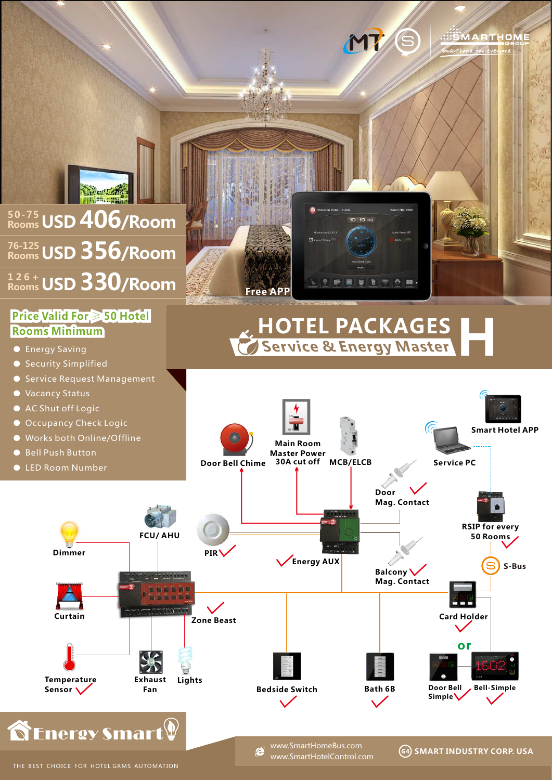

## **Price Valid For** ≥ **50 Hotel Rooms Minimum**

- Energy Saving
- Security Simplified
- Service Request Management
- Vacancy Status
- AC Shut off Logic
- 
- 
- 
- 





## **Service & Energy Master HOTEL PACKAGES H**

**SMART INDUSTRY CORP. USA**

**.:::::MARTHOME** 



e

www.SmartHotelControl.com www.SmartHomeBus.com

THE BEST CHOICE FOR HOTEL GRMS AUTOMATION